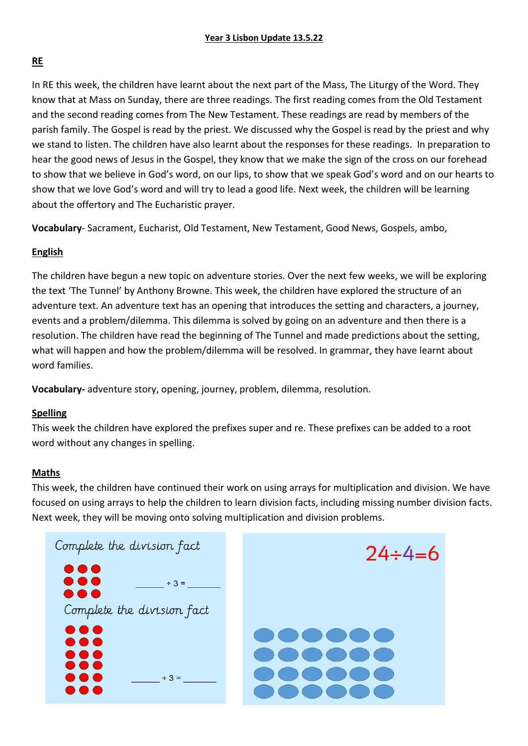## **RE**

In RE this week, the children have learnt about the next part of the Mass, The Liturgy of the Word. They know that at Mass on Sunday, there are three readings. The first reading comes from the Old Testament and the second reading comes from The New Testament. These readings are read by members of the parish family. The Gospel is read by the priest. We discussed why the Gospel is read by the priest and why we stand to listen. The children have also learnt about the responses for these readings. In preparation to hear the good news of Jesus in the Gospel, they know that we make the sign of the cross on our forehead to show that we believe in God's word, on our lips, to show that we speak God's word and on our hearts to show that we love God's word and will try to lead a good life. Next week, the children will be learning about the offertory and The Eucharistic prayer.

**Vocabulary**- Sacrament, Eucharist, Old Testament, New Testament, Good News, Gospels, ambo,

### **English**

The children have begun a new topic on adventure stories. Over the next few weeks, we will be exploring the text 'The Tunnel' by Anthony Browne. This week, the children have explored the structure of an adventure text. An adventure text has an opening that introduces the setting and characters, a journey, events and a problem/dilemma. This dilemma is solved by going on an adventure and then there is a resolution. The children have read the beginning of The Tunnel and made predictions about the setting, what will happen and how the problem/dilemma will be resolved. In grammar, they have learnt about word families.

**Vocabulary-** adventure story, opening, journey, problem, dilemma, resolution.

### **Spelling**

This week the children have explored the prefixes super and re. These prefixes can be added to a root word without any changes in spelling.

### **Maths**

This week, the children have continued their work on using arrays for multiplication and division. We have focused on using arrays to help the children to learn division facts, including missing number division facts. Next week, they will be moving onto solving multiplication and division problems.